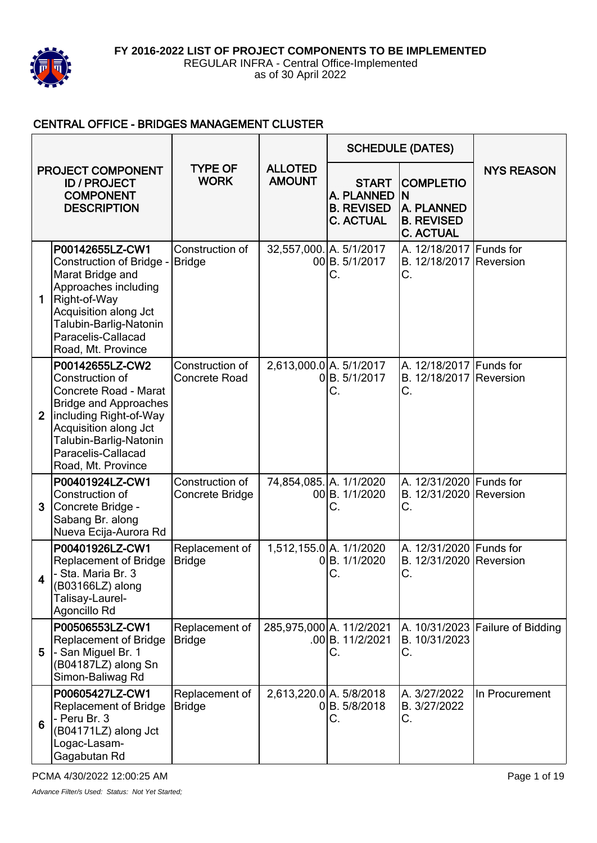

#### CENTRAL OFFICE - BRIDGES MANAGEMENT CLUSTER

| <b>PROJECT COMPONENT</b><br><b>ID / PROJECT</b><br><b>COMPONENT</b><br><b>DESCRIPTION</b> |                                                                                                                                                                                                                      |                                         |                                 |                                                                     | <b>SCHEDULE (DATES)</b>                                                              |                                  |
|-------------------------------------------------------------------------------------------|----------------------------------------------------------------------------------------------------------------------------------------------------------------------------------------------------------------------|-----------------------------------------|---------------------------------|---------------------------------------------------------------------|--------------------------------------------------------------------------------------|----------------------------------|
|                                                                                           |                                                                                                                                                                                                                      | <b>TYPE OF</b><br><b>WORK</b>           | <b>ALLOTED</b><br><b>AMOUNT</b> | <b>START</b><br>A. PLANNED<br><b>B. REVISED</b><br><b>C. ACTUAL</b> | <b>COMPLETIO</b><br>ΙN<br><b>A. PLANNED</b><br><b>B. REVISED</b><br><b>C. ACTUAL</b> | <b>NYS REASON</b>                |
| 1                                                                                         | P00142655LZ-CW1<br>Construction of Bridge -<br>Marat Bridge and<br>Approaches including<br>Right-of-Way<br>Acquisition along Jct<br>Talubin-Barlig-Natonin<br>Paracelis-Callacad<br>Road, Mt. Province               | Construction of<br><b>Bridge</b>        | 32,557,000. A. 5/1/2017         | 00B. 5/1/2017<br>С.                                                 | A. 12/18/2017 Funds for<br>B. 12/18/2017 Reversion<br>С.                             |                                  |
| $\overline{2}$                                                                            | P00142655LZ-CW2<br>Construction of<br>Concrete Road - Marat<br><b>Bridge and Approaches</b><br>including Right-of-Way<br>Acquisition along Jct<br>Talubin-Barlig-Natonin<br>Paracelis-Callacad<br>Road, Mt. Province | Construction of<br><b>Concrete Road</b> | 2,613,000.0 A. 5/1/2017         | 0B. 5/1/2017<br>С.                                                  | A. 12/18/2017 Funds for<br>B. 12/18/2017 Reversion<br>C.                             |                                  |
| 3                                                                                         | P00401924LZ-CW1<br>Construction of<br>Concrete Bridge -<br>Sabang Br. along<br>Nueva Ecija-Aurora Rd                                                                                                                 | Construction of<br>Concrete Bridge      | 74,854,085. A. 1/1/2020         | 00B. 1/1/2020<br>С.                                                 | A. 12/31/2020 Funds for<br>B. 12/31/2020 Reversion<br>С.                             |                                  |
| $\overline{\mathbf{4}}$                                                                   | P00401926LZ-CW1<br><b>Replacement of Bridge</b><br>- Sta. Maria Br. 3<br>(B03166LZ) along<br>Talisay-Laurel-<br>Agoncillo Rd                                                                                         | Replacement of<br><b>Bridge</b>         |                                 | 1,512,155.0 A. 1/1/2020<br>0B. 1/1/2020<br>С.                       | A. 12/31/2020 Funds for<br>B. 12/31/2020 Reversion<br>С.                             |                                  |
| 5                                                                                         | P00506553LZ-CW1<br><b>Replacement of Bridge</b><br>- San Miguel Br. 1<br>(B04187LZ) along Sn<br>Simon-Baliwag Rd                                                                                                     | Replacement of<br><b>Bridge</b>         |                                 | 285,975,000 A. 11/2/2021<br>.00B. 11/2/2021<br>С.                   | B. 10/31/2023<br>С.                                                                  | A. 10/31/2023 Failure of Bidding |
| 6                                                                                         | P00605427LZ-CW1<br><b>Replacement of Bridge</b><br>- Peru Br. 3<br>(B04171LZ) along Jct<br>Logac-Lasam-<br>Gagabutan Rd                                                                                              | Replacement of<br><b>Bridge</b>         | 2,613,220.0 A. 5/8/2018         | 0B. 5/8/2018<br>С.                                                  | A. 3/27/2022<br>B. 3/27/2022<br>С.                                                   | In Procurement                   |

PCMA 4/30/2022 12:00:25 AM **PCMA 4/30/2022 12:00:25 AM**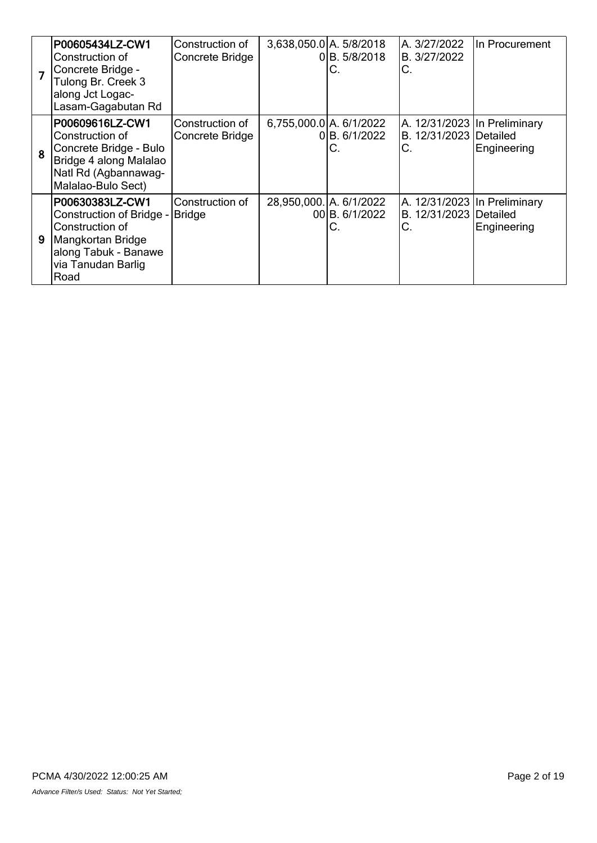|   | P00605434LZ-CW1<br>Construction of<br>Concrete Bridge -<br>Tulong Br. Creek 3<br>along Jct Logac-<br>Lasam-Gagabutan Rd                   | Construction of<br>Concrete Bridge | 3,638,050.0 A. 5/8/2018 | 0 B. 5/8/2018<br>C.  | A. 3/27/2022<br>B. 3/27/2022<br>С.                           | In Procurement |
|---|-------------------------------------------------------------------------------------------------------------------------------------------|------------------------------------|-------------------------|----------------------|--------------------------------------------------------------|----------------|
| 8 | P00609616LZ-CW1<br>Construction of<br>Concrete Bridge - Bulo<br>Bridge 4 along Malalao<br>Natl Rd (Agbannawag-<br>Malalao-Bulo Sect)      | Construction of<br>Concrete Bridge | 6,755,000.0 A. 6/1/2022 | 0 B. 6/1/2022<br>С.  | A. 12/31/2023 In Preliminary<br>B. 12/31/2023 Detailed<br>С. | Engineering    |
| 9 | P00630383LZ-CW1<br>Construction of Bridge -<br>Construction of<br>Mangkortan Bridge<br>along Tabuk - Banawe<br>via Tanudan Barlig<br>Road | Construction of<br><b>Bridge</b>   | 28,950,000. A. 6/1/2022 | 00 B. 6/1/2022<br>С. | A. 12/31/2023 In Preliminary<br>B. 12/31/2023 Detailed<br>С. | Engineering    |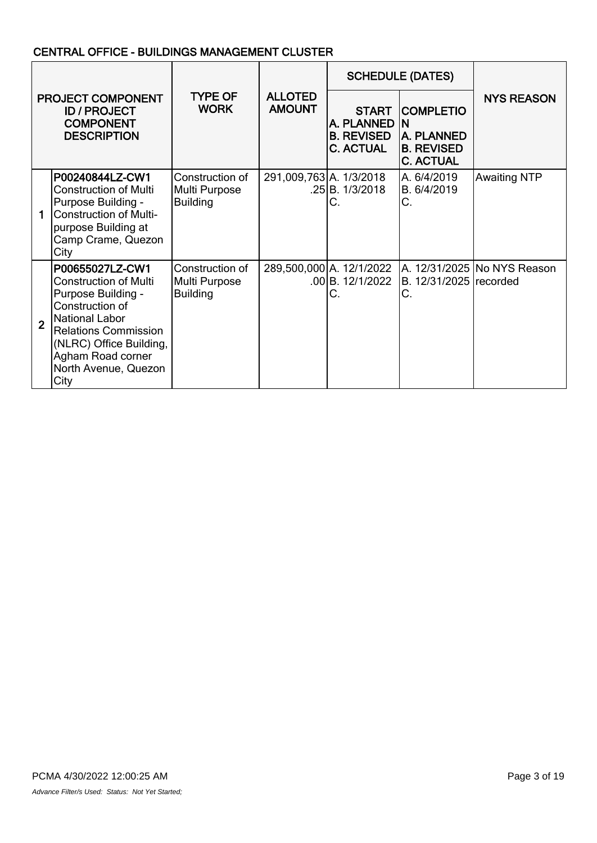## CENTRAL OFFICE - BUILDINGS MANAGEMENT CLUSTER

| PROJECT COMPONENT<br><b>ID / PROJECT</b><br><b>COMPONENT</b><br><b>DESCRIPTION</b> |                                                                                                                                                                                                                           |                                                     |                                 | <b>SCHEDULE (DATES)</b>                                             |                                                                                      |                             |
|------------------------------------------------------------------------------------|---------------------------------------------------------------------------------------------------------------------------------------------------------------------------------------------------------------------------|-----------------------------------------------------|---------------------------------|---------------------------------------------------------------------|--------------------------------------------------------------------------------------|-----------------------------|
|                                                                                    |                                                                                                                                                                                                                           | <b>TYPE OF</b><br><b>WORK</b>                       | <b>ALLOTED</b><br><b>AMOUNT</b> | <b>START</b><br>A. PLANNED<br><b>B. REVISED</b><br><b>C. ACTUAL</b> | <b>COMPLETIO</b><br>ΙN<br><b>A. PLANNED</b><br><b>B. REVISED</b><br><b>C. ACTUAL</b> | <b>NYS REASON</b>           |
|                                                                                    | P00240844LZ-CW1<br><b>Construction of Multi</b><br>Purpose Building -<br><b>Construction of Multi-</b><br>purpose Building at<br>Camp Crame, Quezon<br>City                                                               | Construction of<br>Multi Purpose<br><b>Building</b> | 291,009,763 A. 1/3/2018         | .25 B. 1/3/2018<br>С.                                               | A. 6/4/2019<br>B. 6/4/2019<br>C.                                                     | <b>Awaiting NTP</b>         |
| $\overline{2}$                                                                     | P00655027LZ-CW1<br><b>Construction of Multi</b><br>Purpose Building -<br>Construction of<br>National Labor<br><b>Relations Commission</b><br>(NLRC) Office Building,<br>Agham Road corner<br>North Avenue, Quezon<br>City | Construction of<br>Multi Purpose<br><b>Building</b> |                                 | 289,500,000 A. 12/1/2022<br>.00B. 12/1/2022<br>C.                   | B. 12/31/2025 recorded<br>C.                                                         | A. 12/31/2025 No NYS Reason |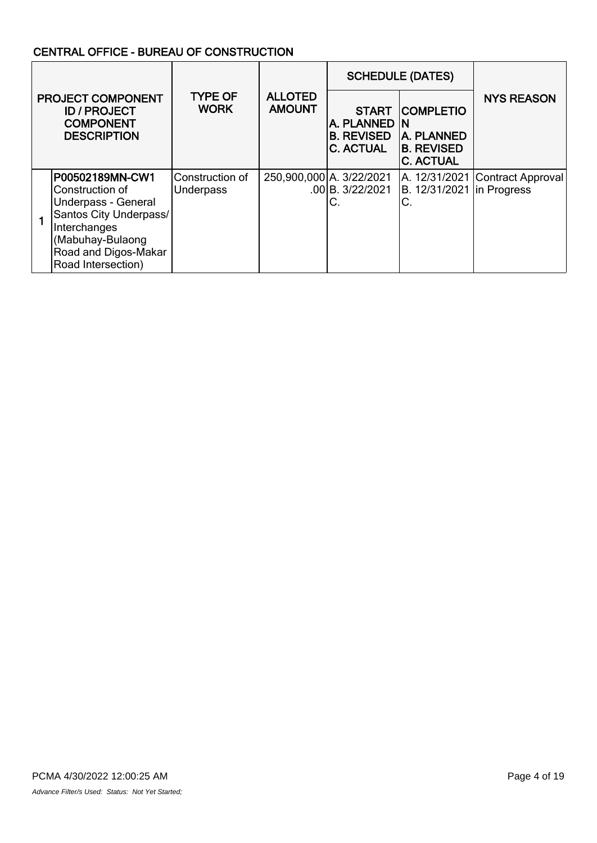## CENTRAL OFFICE - BUREAU OF CONSTRUCTION

|  |                                                                                                                                                                        |                                     |                                 | <b>SCHEDULE (DATES)</b>                                                 |                                                                                |                                 |
|--|------------------------------------------------------------------------------------------------------------------------------------------------------------------------|-------------------------------------|---------------------------------|-------------------------------------------------------------------------|--------------------------------------------------------------------------------|---------------------------------|
|  | <b>PROJECT COMPONENT</b><br><b>ID / PROJECT</b><br><b>COMPONENT</b><br><b>DESCRIPTION</b>                                                                              | <b>TYPE OF</b><br><b>WORK</b>       | <b>ALLOTED</b><br><b>AMOUNT</b> | <b>START</b><br>IA. PLANNED IN<br><b>B. REVISED</b><br><b>C. ACTUAL</b> | <b>COMPLETIO</b><br><b>A. PLANNED</b><br><b>B. REVISED</b><br><b>C. ACTUAL</b> | <b>NYS REASON</b>               |
|  | P00502189MN-CW1<br>lConstruction of<br>Underpass - General<br>Santos City Underpass/<br>Interchanges<br>(Mabuhay-Bulaong<br>Road and Digos-Makar<br>Road Intersection) | Construction of<br><b>Underpass</b> |                                 | 250,900,000 A. 3/22/2021<br>$.00$ B. $3/22/2021$<br>C.                  | B. 12/31/2021 In Progress<br>C.                                                | A. 12/31/2021 Contract Approval |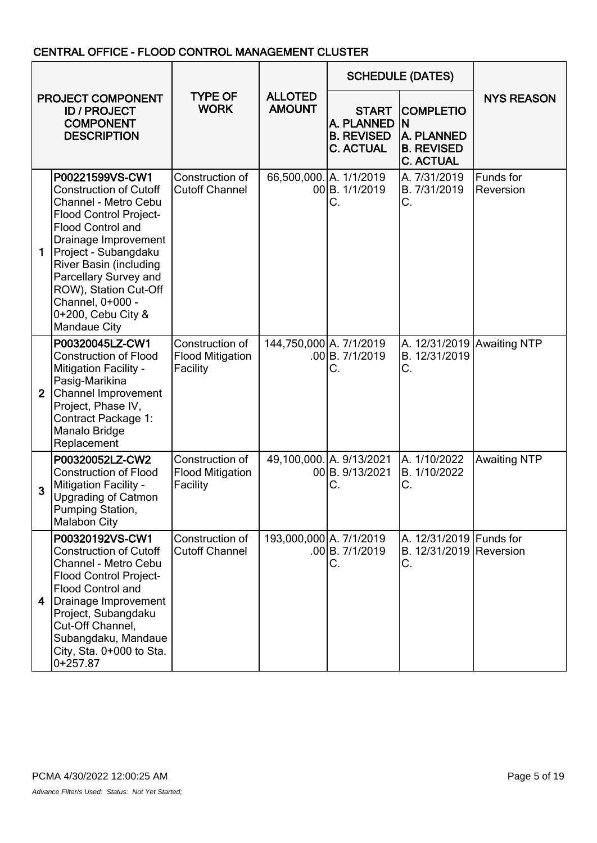### CENTRAL OFFICE - FLOOD CONTROL MANAGEMENT CLUSTER

| PROJECT COMPONENT<br><b>ID / PROJECT</b><br><b>COMPONENT</b><br><b>DESCRIPTION</b> |                                                                                                                                                                                                                                                                                                                                                          | <b>ALLOTED</b><br><b>TYPE OF</b><br><b>WORK</b><br><b>AMOUNT</b> |                                                                     |                                                                               | <b>SCHEDULE (DATES)</b>                                  |                        |
|------------------------------------------------------------------------------------|----------------------------------------------------------------------------------------------------------------------------------------------------------------------------------------------------------------------------------------------------------------------------------------------------------------------------------------------------------|------------------------------------------------------------------|---------------------------------------------------------------------|-------------------------------------------------------------------------------|----------------------------------------------------------|------------------------|
|                                                                                    |                                                                                                                                                                                                                                                                                                                                                          |                                                                  | <b>START</b><br>A. PLANNED<br><b>B. REVISED</b><br><b>C. ACTUAL</b> | <b>COMPLETIO</b><br>ΙN<br>A. PLANNED<br><b>B. REVISED</b><br><b>C. ACTUAL</b> | <b>NYS REASON</b>                                        |                        |
|                                                                                    | P00221599VS-CW1<br><b>Construction of Cutoff</b><br>Channel - Metro Cebu<br><b>Flood Control Project-</b><br><b>Flood Control and</b><br>Drainage Improvement<br>$\mathbf 1$<br>Project - Subangdaku<br><b>River Basin (including</b><br>Parcellary Survey and<br>ROW), Station Cut-Off<br>Channel, 0+000 -<br>0+200, Cebu City &<br><b>Mandaue City</b> | Construction of<br><b>Cutoff Channel</b>                         |                                                                     | 66,500,000. A. 1/1/2019<br>00 B. 1/1/2019<br>С.                               | A. 7/31/2019<br>B. 7/31/2019<br>С.                       | Funds for<br>Reversion |
|                                                                                    | P00320045LZ-CW1<br><b>Construction of Flood</b><br><b>Mitigation Facility -</b><br>Pasig-Marikina<br>Channel Improvement<br>$\overline{2}$<br>Project, Phase IV,<br><b>Contract Package 1:</b><br>Manalo Bridge<br>Replacement                                                                                                                           | Construction of<br><b>Flood Mitigation</b><br>Facility           | 144,750,000 A. 7/1/2019                                             | .00 B.7/1/2019<br>С.                                                          | A. 12/31/2019 Awaiting NTP<br>B. 12/31/2019<br>C.        |                        |
|                                                                                    | P00320052LZ-CW2<br><b>Construction of Flood</b><br><b>Mitigation Facility -</b><br>3<br><b>Upgrading of Catmon</b><br>Pumping Station,<br><b>Malabon City</b>                                                                                                                                                                                            | Construction of<br><b>Flood Mitigation</b><br>Facility           |                                                                     | 49,100,000. A. 9/13/2021<br>00 B. 9/13/2021<br>С.                             | A. 1/10/2022<br>B. 1/10/2022<br>С.                       | <b>Awaiting NTP</b>    |
|                                                                                    | P00320192VS-CW1<br><b>Construction of Cutoff</b><br>Channel - Metro Cebu<br><b>Flood Control Project-</b><br><b>Flood Control and</b><br>Drainage Improvement<br>4<br>Project, Subangdaku<br>Cut-Off Channel,<br>Subangdaku, Mandaue<br>City, Sta. 0+000 to Sta.<br>$0+257.87$                                                                           | Construction of<br><b>Cutoff Channel</b>                         | 193,000,000 A. 7/1/2019                                             | .00 B. 7/1/2019<br>С.                                                         | A. 12/31/2019 Funds for<br>B. 12/31/2019 Reversion<br>С. |                        |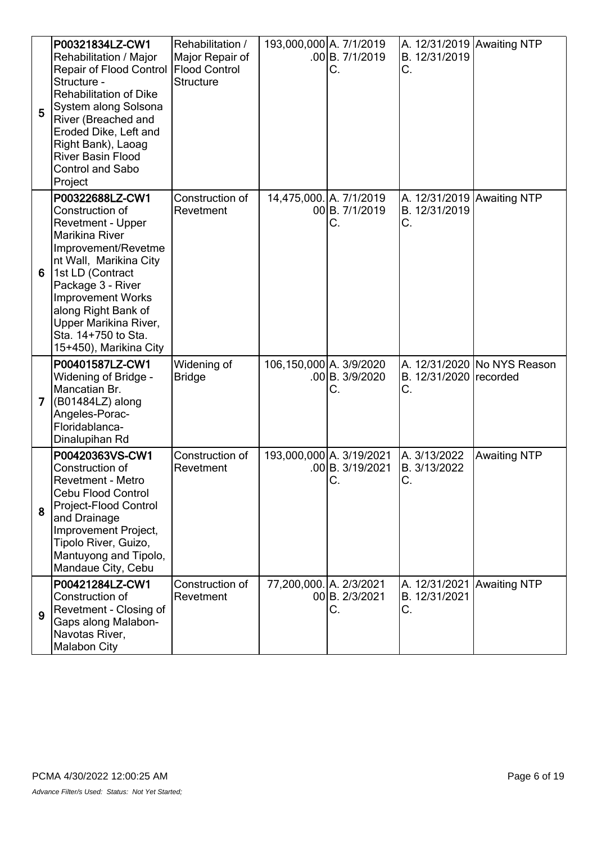| 5              | P00321834LZ-CW1<br>Rehabilitation / Major<br>Repair of Flood Control   Flood Control<br>Structure -<br><b>Rehabilitation of Dike</b><br>System along Solsona<br>River (Breached and<br>Eroded Dike, Left and<br>Right Bank), Laoag<br><b>River Basin Flood</b><br><b>Control and Sabo</b><br>Project | Rehabilitation /<br>Major Repair of<br><b>Structure</b> | 193,000,000 A. 7/1/2019 | .00 B.7/1/2019<br>С.                         | A. 12/31/2019 Awaiting NTP<br>B. 12/31/2019<br>C. |                               |
|----------------|------------------------------------------------------------------------------------------------------------------------------------------------------------------------------------------------------------------------------------------------------------------------------------------------------|---------------------------------------------------------|-------------------------|----------------------------------------------|---------------------------------------------------|-------------------------------|
| 6              | P00322688LZ-CW1<br>Construction of<br>Revetment - Upper<br>Marikina River<br>Improvement/Revetme<br>nt Wall, Marikina City<br>1st LD (Contract<br>Package 3 - River<br><b>Improvement Works</b><br>along Right Bank of<br>Upper Marikina River,<br>Sta. 14+750 to Sta.<br>15+450), Marikina City     | Construction of<br>Revetment                            | 14,475,000. A. 7/1/2019 | 00 B. 7/1/2019<br>С.                         | A. 12/31/2019 Awaiting NTP<br>B. 12/31/2019<br>С. |                               |
| $\overline{ }$ | P00401587LZ-CW1<br><b>Widening of Bridge -</b><br>Mancatian Br.<br>(B01484LZ) along<br>Angeles-Porac-<br>Floridablanca-<br>Dinalupihan Rd                                                                                                                                                            | Widening of<br><b>Bridge</b>                            | 106,150,000 A. 3/9/2020 | .00 B. 3/9/2020<br>С.                        | B. 12/31/2020 recorded<br>С.                      | A. 12/31/2020   No NYS Reason |
| 8              | P00420363VS-CW1<br>Construction of<br>Revetment - Metro<br><b>Cebu Flood Control</b><br>Project-Flood Control<br>and Drainage<br>Improvement Project,<br>Tipolo River, Guizo,<br>Mantuyong and Tipolo,<br>Mandaue City, Cebu                                                                         | Construction of<br>Revetment                            |                         | 193,000,000 A. 3/19/2021<br>.00 B. 3/19/2021 | A. 3/13/2022<br>B. 3/13/2022<br>C.                | <b>Awaiting NTP</b>           |
| 9              | P00421284LZ-CW1<br>Construction of<br>Revetment - Closing of<br>Gaps along Malabon-<br>Navotas River,<br><b>Malabon City</b>                                                                                                                                                                         | Construction of<br>Revetment                            | 77,200,000. A. 2/3/2021 | 00 B. 2/3/2021<br>С.                         | A. 12/31/2021 Awaiting NTP<br>B. 12/31/2021<br>С. |                               |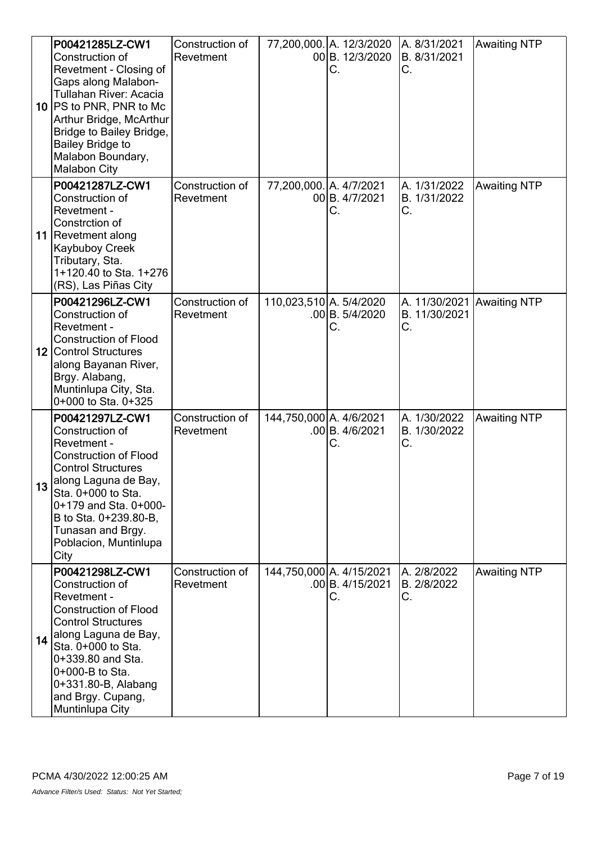|    | P00421285LZ-CW1<br>Construction of<br>Revetment - Closing of<br>Gaps along Malabon-<br>Tullahan River: Acacia<br>10 PS to PNR, PNR to Mc<br>Arthur Bridge, McArthur<br>Bridge to Bailey Bridge,<br><b>Bailey Bridge to</b><br>Malabon Boundary,<br><b>Malabon City</b> | Construction of<br>Revetment |                         | 77,200,000. A. 12/3/2020<br>00 B. 12/3/2020<br>С.  | A. 8/31/2021<br>B. 8/31/2021<br>С.                | <b>Awaiting NTP</b> |
|----|------------------------------------------------------------------------------------------------------------------------------------------------------------------------------------------------------------------------------------------------------------------------|------------------------------|-------------------------|----------------------------------------------------|---------------------------------------------------|---------------------|
|    | P00421287LZ-CW1<br>Construction of<br>Revetment -<br>Constrction of<br>11   Revetment along<br>Kaybuboy Creek<br>Tributary, Sta.<br>1+120.40 to Sta. 1+276<br>(RS), Las Piñas City                                                                                     | Construction of<br>Revetment | 77,200,000. A. 4/7/2021 | 00 B. 4/7/2021<br>C.                               | A. 1/31/2022<br>B. 1/31/2022<br>С.                | <b>Awaiting NTP</b> |
|    | P00421296LZ-CW1<br>Construction of<br>Revetment -<br><b>Construction of Flood</b><br>12 Control Structures<br>along Bayanan River,<br>Brgy. Alabang,<br>Muntinlupa City, Sta.<br>0+000 to Sta. 0+325                                                                   | Construction of<br>Revetment | 110,023,510 A. 5/4/2020 | .00 B. 5/4/2020<br>С.                              | A. 11/30/2021 Awaiting NTP<br>B. 11/30/2021<br>С. |                     |
| 13 | P00421297LZ-CW1<br>Construction of<br>Revetment -<br><b>Construction of Flood</b><br><b>Control Structures</b><br>Jalong Laguna de Bay,<br>Sta. 0+000 to Sta.<br>0+179 and Sta. 0+000-<br>B to Sta. 0+239.80-B,<br>Tunasan and Brgy.<br>Poblacion, Muntinlupa<br>City  | Construction of<br>Revetment | 144,750,000 A. 4/6/2021 | .00 B. 4/6/2021<br>С.                              | A. 1/30/2022<br>B. 1/30/2022<br>С.                | <b>Awaiting NTP</b> |
| 14 | P00421298LZ-CW1<br>Construction of<br>Revetment -<br><b>Construction of Flood</b><br><b>Control Structures</b><br>along Laguna de Bay,<br>Sta. 0+000 to Sta.<br>0+339.80 and Sta.<br>0+000-B to Sta.<br>0+331.80-B, Alabang<br>and Brgy. Cupang,<br>Muntinlupa City    | Construction of<br>Revetment |                         | 144,750,000 A. 4/15/2021<br>.00 B. 4/15/2021<br>С. | A. 2/8/2022<br>B. 2/8/2022<br>С.                  | <b>Awaiting NTP</b> |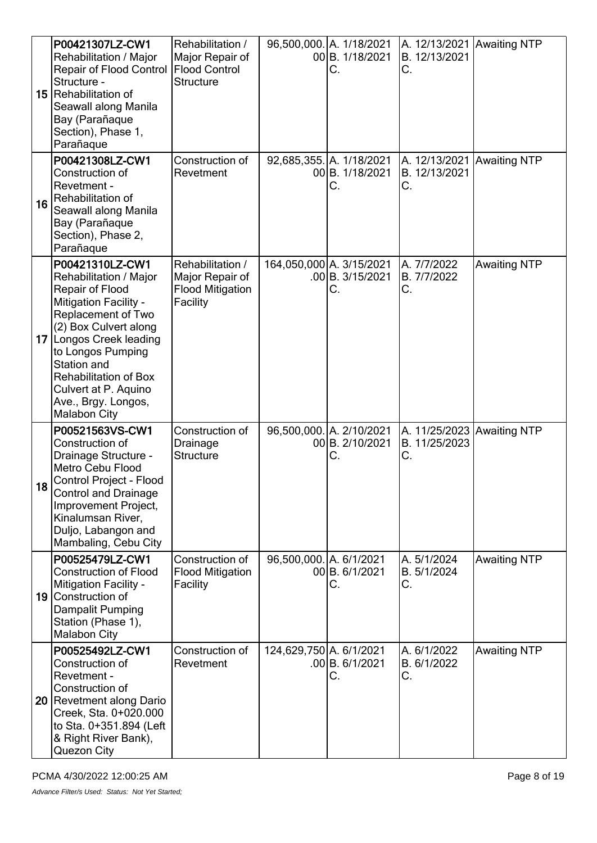|    | P00421307LZ-CW1<br>Rehabilitation / Major<br><b>Repair of Flood Control</b><br>Structure -<br>15 Rehabilitation of<br>Seawall along Manila<br>Bay (Parañaque<br>Section), Phase 1,<br>Parañaque                                                                                                                  | Rehabilitation /<br>Major Repair of<br><b>Flood Control</b><br><b>Structure</b> |                         | 96,500,000. A. 1/18/2021<br>00 B. 1/18/2021<br>С.  | A. 12/13/2021 Awaiting NTP<br>B. 12/13/2021<br>С. |                     |
|----|------------------------------------------------------------------------------------------------------------------------------------------------------------------------------------------------------------------------------------------------------------------------------------------------------------------|---------------------------------------------------------------------------------|-------------------------|----------------------------------------------------|---------------------------------------------------|---------------------|
| 16 | P00421308LZ-CW1<br>Construction of<br>Revetment -<br>Rehabilitation of<br>Seawall along Manila<br>Bay (Parañaque<br>Section), Phase 2,<br>Parañaque                                                                                                                                                              | Construction of<br>Revetment                                                    |                         | 92,685,355. A. 1/18/2021<br>00 B. 1/18/2021<br>С.  | A. 12/13/2021 Awaiting NTP<br>B. 12/13/2021<br>С. |                     |
|    | P00421310LZ-CW1<br>Rehabilitation / Major<br>Repair of Flood<br><b>Mitigation Facility -</b><br>Replacement of Two<br>(2) Box Culvert along<br>17 Longos Creek leading<br>to Longos Pumping<br>Station and<br><b>Rehabilitation of Box</b><br>Culvert at P. Aquino<br>Ave., Brgy. Longos,<br><b>Malabon City</b> | Rehabilitation /<br>Major Repair of<br><b>Flood Mitigation</b><br>Facility      |                         | 164,050,000 A. 3/15/2021<br>.00 B. 3/15/2021<br>С. | A. 7/7/2022<br>B. 7/7/2022<br>C.                  | <b>Awaiting NTP</b> |
| 18 | P00521563VS-CW1<br>Construction of<br>Drainage Structure -<br>Metro Cebu Flood<br>Control Project - Flood<br><b>Control and Drainage</b><br>Improvement Project,<br>Kinalumsan River,<br>Duljo, Labangon and<br>Mambaling, Cebu City                                                                             | Construction of<br>Drainage<br><b>Structure</b>                                 |                         | 96,500,000. A. 2/10/2021<br>00 B. 2/10/2021<br>С.  | A. 11/25/2023 Awaiting NTP<br>B. 11/25/2023<br>С. |                     |
|    | P00525479LZ-CW1<br><b>Construction of Flood</b><br><b>Mitigation Facility -</b><br>19 Construction of<br>Dampalit Pumping<br>Station (Phase 1),<br><b>Malabon City</b>                                                                                                                                           | Construction of<br><b>Flood Mitigation</b><br>Facility                          | 96,500,000. A. 6/1/2021 | 00 B. 6/1/2021<br>С.                               | A. 5/1/2024<br>B. 5/1/2024<br>С.                  | <b>Awaiting NTP</b> |
|    | P00525492LZ-CW1<br>Construction of<br>Revetment -<br>Construction of<br>20 Revetment along Dario<br>Creek, Sta. 0+020.000<br>to Sta. 0+351.894 (Left<br>& Right River Bank),<br>Quezon City                                                                                                                      | Construction of<br>Revetment                                                    | 124,629,750 A. 6/1/2021 | .00 B.6/1/2021<br>С.                               | A. 6/1/2022<br>B. 6/1/2022<br>С.                  | <b>Awaiting NTP</b> |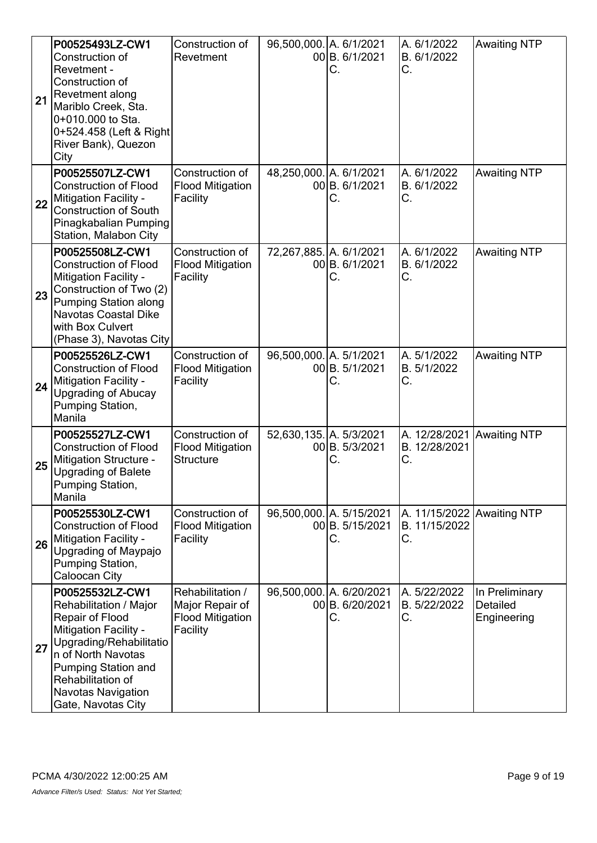| 21 | P00525493LZ-CW1<br>Construction of<br>Revetment -<br>Construction of<br>Revetment along<br>Mariblo Creek, Sta.<br>0+010.000 to Sta.<br>0+524.458 (Left & Right<br>River Bank), Quezon<br>City                                         | Construction of<br>Revetment                                               | 96,500,000. A. 6/1/2021 | 00 B. 6/1/2021<br>С.                              | A. 6/1/2022<br>B. 6/1/2022<br>С.                  | <b>Awaiting NTP</b>                       |
|----|---------------------------------------------------------------------------------------------------------------------------------------------------------------------------------------------------------------------------------------|----------------------------------------------------------------------------|-------------------------|---------------------------------------------------|---------------------------------------------------|-------------------------------------------|
| 22 | P00525507LZ-CW1<br><b>Construction of Flood</b><br>Mitigation Facility -<br><b>Construction of South</b><br>Pinagkabalian Pumping<br>Station, Malabon City                                                                            | Construction of<br><b>Flood Mitigation</b><br>Facility                     | 48,250,000. A. 6/1/2021 | 00 B. 6/1/2021<br>С.                              | A. 6/1/2022<br>B. 6/1/2022<br>С.                  | <b>Awaiting NTP</b>                       |
| 23 | P00525508LZ-CW1<br><b>Construction of Flood</b><br>Mitigation Facility -<br>Construction of Two (2)<br>Pumping Station along<br>Navotas Coastal Dike<br>with Box Culvert<br>(Phase 3), Navotas City                                   | Construction of<br><b>Flood Mitigation</b><br>Facility                     | 72,267,885. A. 6/1/2021 | 00B. 6/1/2021<br>С.                               | A. 6/1/2022<br>B. 6/1/2022<br>C.                  | <b>Awaiting NTP</b>                       |
| 24 | P00525526LZ-CW1<br><b>Construction of Flood</b><br>Mitigation Facility -<br><b>Upgrading of Abucay</b><br>Pumping Station,<br>Manila                                                                                                  | Construction of<br><b>Flood Mitigation</b><br>Facility                     | 96,500,000. A. 5/1/2021 | 00 B. 5/1/2021<br>С.                              | A. 5/1/2022<br>B. 5/1/2022<br>С.                  | <b>Awaiting NTP</b>                       |
| 25 | P00525527LZ-CW1<br><b>Construction of Flood</b><br>Mitigation Structure -<br><b>Upgrading of Balete</b><br>Pumping Station,<br>Manila                                                                                                 | Construction of<br><b>Flood Mitigation</b><br><b>Structure</b>             | 52,630,135. A. 5/3/2021 | 00 B. 5/3/2021<br>С.                              | A. 12/28/2021<br>B. 12/28/2021<br>С.              | <b>Awaiting NTP</b>                       |
| 26 | P00525530LZ-CW1<br><b>Construction of Flood</b><br>Mitigation Facility -<br>Upgrading of Maypajo<br>Pumping Station,<br><b>Caloocan City</b>                                                                                          | Construction of<br><b>Flood Mitigation</b><br>Facility                     |                         | 96,500,000. A. 5/15/2021<br>00 B. 5/15/2021<br>С. | A. 11/15/2022 Awaiting NTP<br>B. 11/15/2022<br>С. |                                           |
| 27 | P00525532LZ-CW1<br>Rehabilitation / Major<br>Repair of Flood<br>Mitigation Facility -<br>Upgrading/Rehabilitatio<br>n of North Navotas<br>Pumping Station and<br>Rehabilitation of<br><b>Navotas Navigation</b><br>Gate, Navotas City | Rehabilitation /<br>Major Repair of<br><b>Flood Mitigation</b><br>Facility |                         | 96,500,000. A. 6/20/2021<br>00 B. 6/20/2021<br>C. | A. 5/22/2022<br>B. 5/22/2022<br>С.                | In Preliminary<br>Detailed<br>Engineering |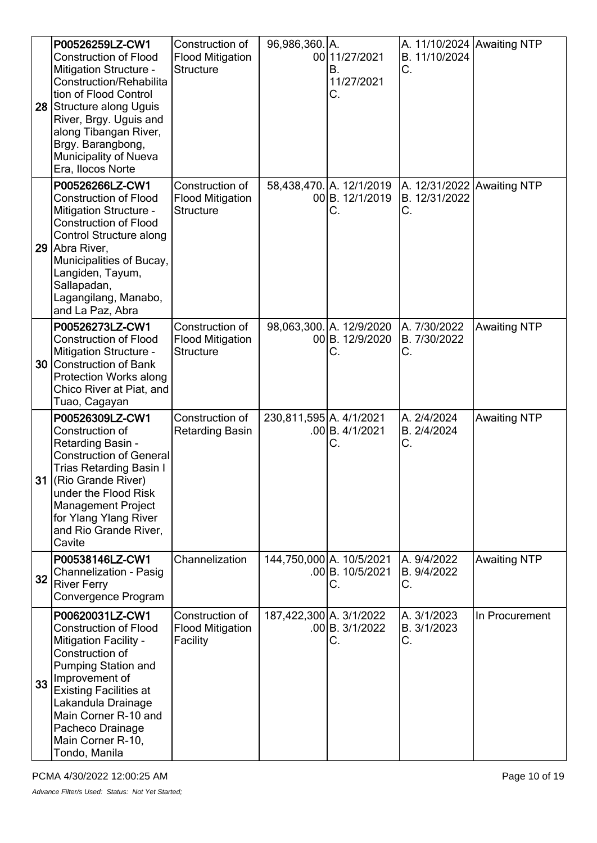|    | P00526259LZ-CW1<br><b>Construction of Flood</b><br><b>Mitigation Structure -</b><br><b>Construction/Rehabilita</b><br>tion of Flood Control<br>28 Structure along Uguis<br>River, Brgy. Uguis and<br>along Tibangan River,<br>Brgy. Barangbong,<br><b>Municipality of Nueva</b><br>Era, Ilocos Norte | Construction of<br><b>Flood Mitigation</b><br><b>Structure</b> | 96,986,360. A.          | 00 11/27/2021<br>В.<br>11/27/2021<br>С.           | A. 11/10/2024 Awaiting NTP<br>B. 11/10/2024<br>С. |                     |
|----|------------------------------------------------------------------------------------------------------------------------------------------------------------------------------------------------------------------------------------------------------------------------------------------------------|----------------------------------------------------------------|-------------------------|---------------------------------------------------|---------------------------------------------------|---------------------|
| 29 | P00526266LZ-CW1<br><b>Construction of Flood</b><br><b>Mitigation Structure -</b><br><b>Construction of Flood</b><br><b>Control Structure along</b><br>Abra River,<br>Municipalities of Bucay,<br>Langiden, Tayum,<br>Sallapadan,<br>Lagangilang, Manabo,<br>and La Paz, Abra                         | Construction of<br><b>Flood Mitigation</b><br><b>Structure</b> |                         | 58,438,470. A. 12/1/2019<br>00 B. 12/1/2019<br>С. | A. 12/31/2022 Awaiting NTP<br>B. 12/31/2022<br>С. |                     |
|    | P00526273LZ-CW1<br><b>Construction of Flood</b><br><b>Mitigation Structure -</b><br>30 Construction of Bank<br><b>Protection Works along</b><br>Chico River at Piat, and<br>Tuao, Cagayan                                                                                                            | Construction of<br><b>Flood Mitigation</b><br><b>Structure</b> |                         | 98,063,300. A. 12/9/2020<br>00 B. 12/9/2020<br>С. | A. 7/30/2022<br>B. 7/30/2022<br>С.                | <b>Awaiting NTP</b> |
|    | P00526309LZ-CW1<br>Construction of<br>Retarding Basin -<br><b>Construction of General</b><br><b>Trias Retarding Basin I</b><br>31 (Rio Grande River)<br>under the Flood Risk<br><b>Management Project</b><br>for Ylang Ylang River<br>and Rio Grande River,<br>Cavite                                | Construction of<br><b>Retarding Basin</b>                      | 230,811,595 A. 4/1/2021 | .00B. 4/1/2021<br>С.                              | A. 2/4/2024<br>B. 2/4/2024<br>С.                  | <b>Awaiting NTP</b> |
| 32 | P00538146LZ-CW1<br><b>Channelization - Pasig</b><br><b>River Ferry</b><br>Convergence Program                                                                                                                                                                                                        | Channelization                                                 |                         | 144,750,000 A. 10/5/2021<br>.00B. 10/5/2021<br>С. | A. 9/4/2022<br>B. 9/4/2022<br>С.                  | <b>Awaiting NTP</b> |
| 33 | P00620031LZ-CW1<br><b>Construction of Flood</b><br><b>Mitigation Facility -</b><br>Construction of<br><b>Pumping Station and</b><br>Improvement of<br><b>Existing Facilities at</b><br>Lakandula Drainage<br>Main Corner R-10 and<br>Pacheco Drainage<br>Main Corner R-10,<br>Tondo, Manila          | Construction of<br><b>Flood Mitigation</b><br>Facility         | 187,422,300 A. 3/1/2022 | $.00$ B. $3/1/2022$<br>С.                         | A. 3/1/2023<br>B. 3/1/2023<br>С.                  | In Procurement      |

PCMA 4/30/2022 12:00:25 AM PCMA 4/30/2022 12:00:25 AM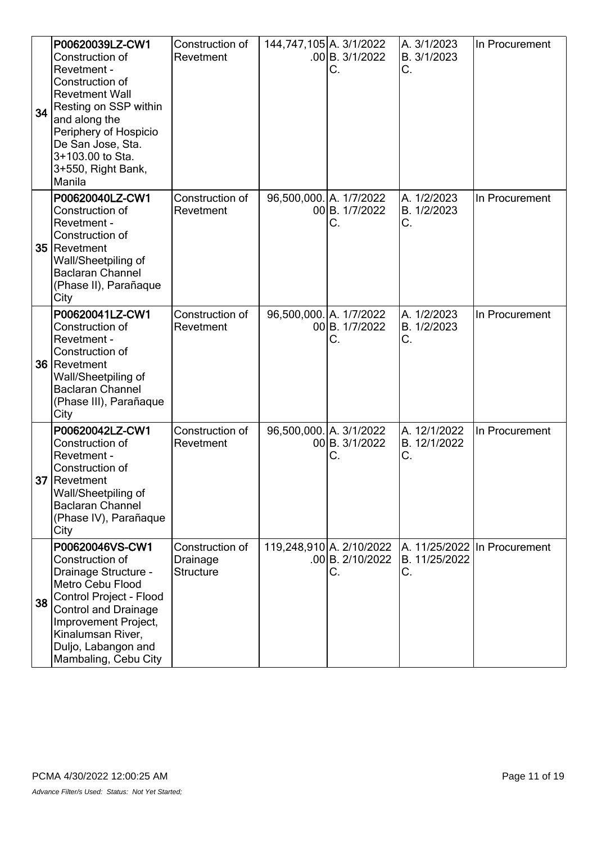| 34 | P00620039LZ-CW1<br>Construction of<br>Revetment -<br>Construction of<br><b>Revetment Wall</b><br>Resting on SSP within<br>and along the<br>Periphery of Hospicio<br>De San Jose, Sta.<br>3+103.00 to Sta.<br>3+550, Right Bank,<br>Manila   | Construction of<br>Revetment                    | 144,747,105 A. 3/1/2022 | $.00$ B. $3/1/2022$<br>С.                          | A. 3/1/2023<br>B. 3/1/2023<br>С.   | In Procurement               |
|----|---------------------------------------------------------------------------------------------------------------------------------------------------------------------------------------------------------------------------------------------|-------------------------------------------------|-------------------------|----------------------------------------------------|------------------------------------|------------------------------|
|    | P00620040LZ-CW1<br>Construction of<br>Revetment -<br>Construction of<br>35 Revetment<br>Wall/Sheetpiling of<br><b>Baclaran Channel</b><br>(Phase II), Parañaque<br>City                                                                     | Construction of<br>Revetment                    | 96,500,000. A. 1/7/2022 | 00B. 1/7/2022<br>С.                                | A. 1/2/2023<br>B. 1/2/2023<br>С.   | In Procurement               |
|    | P00620041LZ-CW1<br>Construction of<br>Revetment -<br>Construction of<br>36 Revetment<br>Wall/Sheetpiling of<br><b>Baclaran Channel</b><br>(Phase III), Parañaque<br>City                                                                    | Construction of<br>Revetment                    | 96,500,000. A. 1/7/2022 | 00B. 1/7/2022<br>С.                                | A. 1/2/2023<br>B. 1/2/2023<br>С.   | In Procurement               |
|    | P00620042LZ-CW1<br>Construction of<br>Revetment -<br>Construction of<br>37 Revetment<br>Wall/Sheetpiling of<br><b>Baclaran Channel</b><br>(Phase IV), Parañaque<br>City                                                                     | Construction of<br>Revetment                    | 96,500,000. A. 3/1/2022 | 00 B. 3/1/2022<br>С.                               | A. 12/1/2022<br>B. 12/1/2022<br>C. | In Procurement               |
| 38 | P00620046VS-CW1<br>Construction of<br>Drainage Structure -<br><b>Metro Cebu Flood</b><br>Control Project - Flood<br><b>Control and Drainage</b><br>Improvement Project,<br>Kinalumsan River,<br>Duljo, Labangon and<br>Mambaling, Cebu City | Construction of<br>Drainage<br><b>Structure</b> |                         | 119,248,910 A. 2/10/2022<br>.00 B. 2/10/2022<br>С. | B. 11/25/2022<br>С.                | A. 11/25/2022 In Procurement |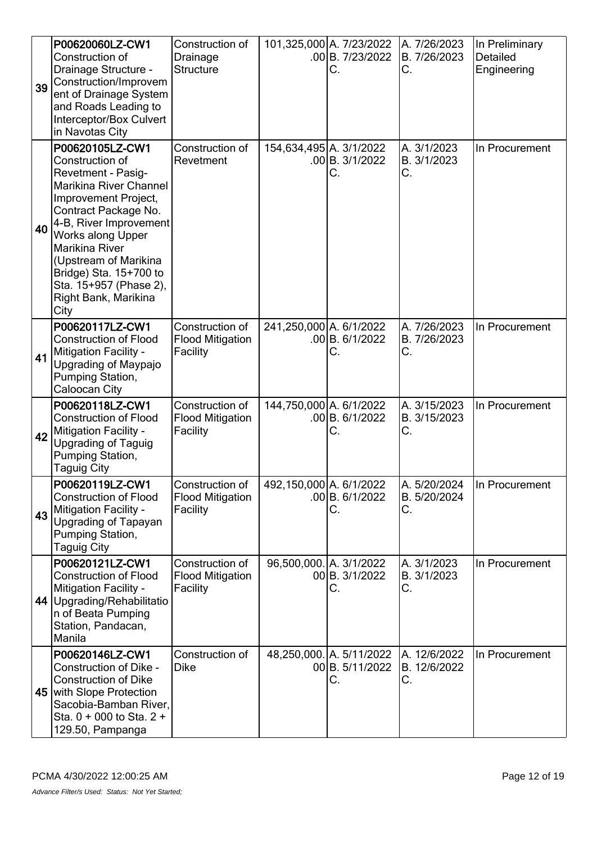| 39 | P00620060LZ-CW1<br>Construction of<br>Drainage Structure -<br>Construction/Improvem<br>ent of Drainage System<br>and Roads Leading to<br>Interceptor/Box Culvert<br>in Navotas City                                                                                                                                            | Construction of<br>Drainage<br><b>Structure</b>        |                         | 101,325,000 A. 7/23/2022<br>$.00$ B. $7/23/2022$<br>С. | A. 7/26/2023<br>B. 7/26/2023<br>С. | In Preliminary<br>Detailed<br>Engineering |
|----|--------------------------------------------------------------------------------------------------------------------------------------------------------------------------------------------------------------------------------------------------------------------------------------------------------------------------------|--------------------------------------------------------|-------------------------|--------------------------------------------------------|------------------------------------|-------------------------------------------|
| 40 | P00620105LZ-CW1<br>Construction of<br><b>Revetment - Pasig-</b><br>Marikina River Channel<br>Improvement Project,<br>Contract Package No.<br>4-B, River Improvement<br>Works along Upper<br><b>Marikina River</b><br>(Upstream of Marikina<br>Bridge) Sta. 15+700 to<br>Sta. 15+957 (Phase 2),<br>Right Bank, Marikina<br>City | Construction of<br>Revetment                           | 154,634,495 A. 3/1/2022 | .00 B.3/1/2022<br>С.                                   | A. 3/1/2023<br>B. 3/1/2023<br>С.   | In Procurement                            |
| 41 | P00620117LZ-CW1<br><b>Construction of Flood</b><br>Mitigation Facility -<br>Upgrading of Maypajo<br>Pumping Station,<br>Caloocan City                                                                                                                                                                                          | Construction of<br><b>Flood Mitigation</b><br>Facility | 241,250,000 A. 6/1/2022 | .00 B.6/1/2022<br>С.                                   | A. 7/26/2023<br>B. 7/26/2023<br>С. | In Procurement                            |
| 42 | P00620118LZ-CW1<br><b>Construction of Flood</b><br><b>Mitigation Facility -</b><br><b>Upgrading of Taguig</b><br>Pumping Station,<br>Taguig City                                                                                                                                                                               | Construction of<br><b>Flood Mitigation</b><br>Facility | 144,750,000 A. 6/1/2022 | .00 B. 6/1/2022<br>С.                                  | A. 3/15/2023<br>B. 3/15/2023<br>С. | In Procurement                            |
| 43 | P00620119LZ-CW1<br><b>Construction of Flood</b><br><b>Mitigation Facility -</b><br>Upgrading of Tapayan<br>Pumping Station,<br>Taguig City                                                                                                                                                                                     | Construction of<br><b>Flood Mitigation</b><br>Facility | 492,150,000 A. 6/1/2022 | .00 B. 6/1/2022<br>С.                                  | A. 5/20/2024<br>B. 5/20/2024<br>С. | In Procurement                            |
|    | P00620121LZ-CW1<br><b>Construction of Flood</b><br><b>Mitigation Facility -</b><br>44 Upgrading/Rehabilitatio<br>n of Beata Pumping<br>Station, Pandacan,<br>Manila                                                                                                                                                            | Construction of<br><b>Flood Mitigation</b><br>Facility | 96,500,000. A. 3/1/2022 | 00 B. 3/1/2022<br>С.                                   | A. 3/1/2023<br>B. 3/1/2023<br>С.   | In Procurement                            |
|    | P00620146LZ-CW1<br>Construction of Dike -<br><b>Construction of Dike</b><br>45 with Slope Protection<br>Sacobia-Bamban River,<br>Sta. $0 + 000$ to Sta. $2 +$<br>129.50, Pampanga                                                                                                                                              | Construction of<br><b>Dike</b>                         |                         | 48,250,000. A. 5/11/2022<br>00 B. 5/11/2022<br>С.      | A. 12/6/2022<br>B. 12/6/2022<br>С. | In Procurement                            |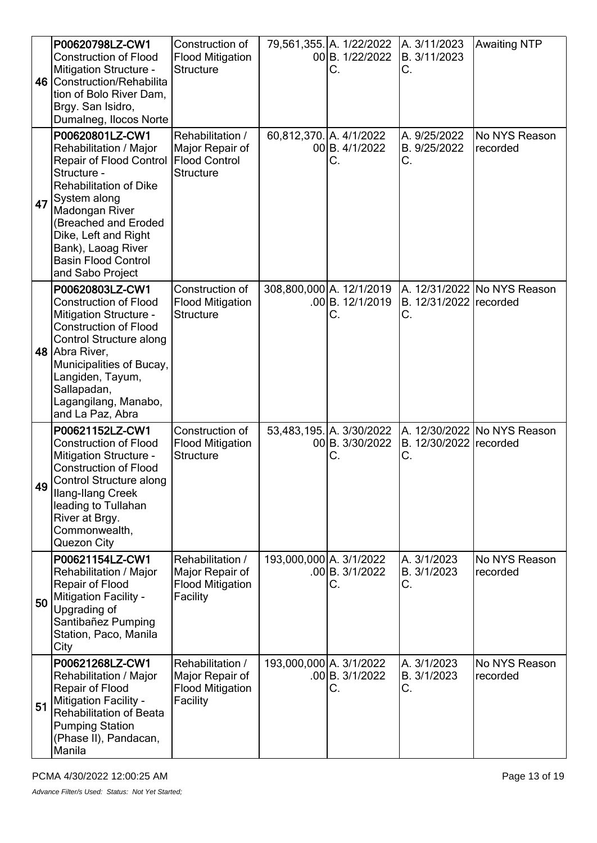|    | P00620798LZ-CW1<br><b>Construction of Flood</b><br>Mitigation Structure -<br>46 Construction/Rehabilita<br>tion of Bolo River Dam,<br>Brgy. San Isidro,<br>Dumalneg, Ilocos Norte                                                                                                     | Construction of<br><b>Flood Mitigation</b><br><b>Structure</b>                  |                         | 79,561,355. A. 1/22/2022<br>00 B. 1/22/2022<br>С. | A. 3/11/2023<br>B. 3/11/2023<br>С. | <b>Awaiting NTP</b>           |
|----|---------------------------------------------------------------------------------------------------------------------------------------------------------------------------------------------------------------------------------------------------------------------------------------|---------------------------------------------------------------------------------|-------------------------|---------------------------------------------------|------------------------------------|-------------------------------|
| 47 | P00620801LZ-CW1<br>Rehabilitation / Major<br><b>Repair of Flood Control</b><br>Structure -<br><b>Rehabilitation of Dike</b><br>System along<br>Madongan River<br>(Breached and Eroded<br>Dike, Left and Right<br>Bank), Laoag River<br><b>Basin Flood Control</b><br>and Sabo Project | Rehabilitation /<br>Major Repair of<br><b>Flood Control</b><br><b>Structure</b> | 60,812,370. A. 4/1/2022 | 00B. 4/1/2022<br>С.                               | A. 9/25/2022<br>B. 9/25/2022<br>С. | No NYS Reason<br>recorded     |
|    | P00620803LZ-CW1<br><b>Construction of Flood</b><br>Mitigation Structure -<br><b>Construction of Flood</b><br><b>Control Structure along</b><br>48 Abra River,<br>Municipalities of Bucay,<br>Langiden, Tayum,<br>Sallapadan,<br>Lagangilang, Manabo,<br>and La Paz, Abra              | Construction of<br><b>Flood Mitigation</b><br><b>Structure</b>                  |                         | 308,800,000 A. 12/1/2019<br>.00B. 12/1/2019<br>С. | B. 12/31/2022 recorded<br>C.       | A. 12/31/2022   No NYS Reason |
|    | P00621152LZ-CW1<br><b>Construction of Flood</b><br>Mitigation Structure -<br><b>Construction of Flood</b><br>49 Control Structure along<br>Ilang-Ilang Creek<br>leading to Tullahan<br>River at Brgy.<br>Commonwealth,<br>Quezon City                                                 | Construction of<br><b>Flood Mitigation</b><br><b>Structure</b>                  |                         | 53,483,195. A. 3/30/2022<br>00 B. 3/30/2022<br>C. | B. 12/30/2022 recorded<br>С.       | A. 12/30/2022 No NYS Reason   |
| 50 | P00621154LZ-CW1<br>Rehabilitation / Major<br>Repair of Flood<br>Mitigation Facility -<br>Upgrading of<br>Santibañez Pumping<br>Station, Paco, Manila<br>City                                                                                                                          | Rehabilitation /<br>Major Repair of<br><b>Flood Mitigation</b><br>Facility      | 193,000,000 A. 3/1/2022 | .00 B. 3/1/2022<br>С.                             | A. 3/1/2023<br>B. 3/1/2023<br>С.   | No NYS Reason<br>recorded     |
| 51 | P00621268LZ-CW1<br>Rehabilitation / Major<br>Repair of Flood<br>Mitigation Facility -<br><b>Rehabilitation of Beata</b><br><b>Pumping Station</b><br>(Phase II), Pandacan,<br>Manila                                                                                                  | Rehabilitation /<br>Major Repair of<br><b>Flood Mitigation</b><br>Facility      | 193,000,000 A. 3/1/2022 | $.00$ B. $3/1/2022$<br>С.                         | A. 3/1/2023<br>B. 3/1/2023<br>С.   | No NYS Reason<br>recorded     |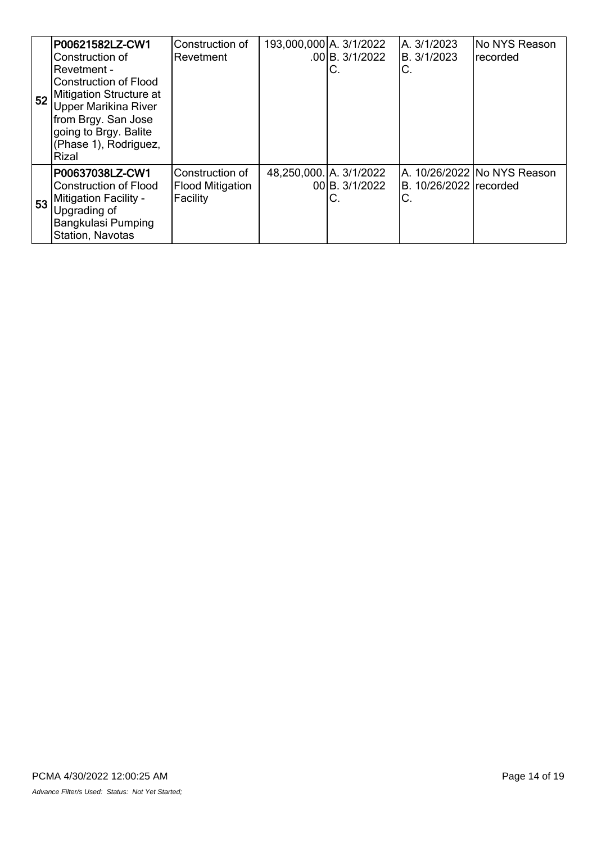| 52 | P00621582LZ-CW1<br>Construction of<br>IRevetment -<br>lConstruction of Flood<br>Mitigation Structure at<br><b>Upper Marikina River</b><br>from Brgy. San Jose<br>going to Brgy. Balite<br>(Phase 1), Rodriguez,<br>Rizal | Construction of<br>Revetment                           | 193,000,000 A. 3/1/2022 | .00 B. 3/1/2022<br>C. | A. 3/1/2023<br>B. 3/1/2023<br>C. | No NYS Reason<br>recorded   |
|----|--------------------------------------------------------------------------------------------------------------------------------------------------------------------------------------------------------------------------|--------------------------------------------------------|-------------------------|-----------------------|----------------------------------|-----------------------------|
| 53 | P00637038LZ-CW1<br><b>Construction of Flood</b><br><b>Mitigation Facility -</b><br>Upgrading of<br>Bangkulasi Pumping<br>Station, Navotas                                                                                | Construction of<br><b>Flood Mitigation</b><br>Facility | 48,250,000. A. 3/1/2022 | 00 B. 3/1/2022<br>C.  | B. 10/26/2022 recorded<br>C.     | A. 10/26/2022 No NYS Reason |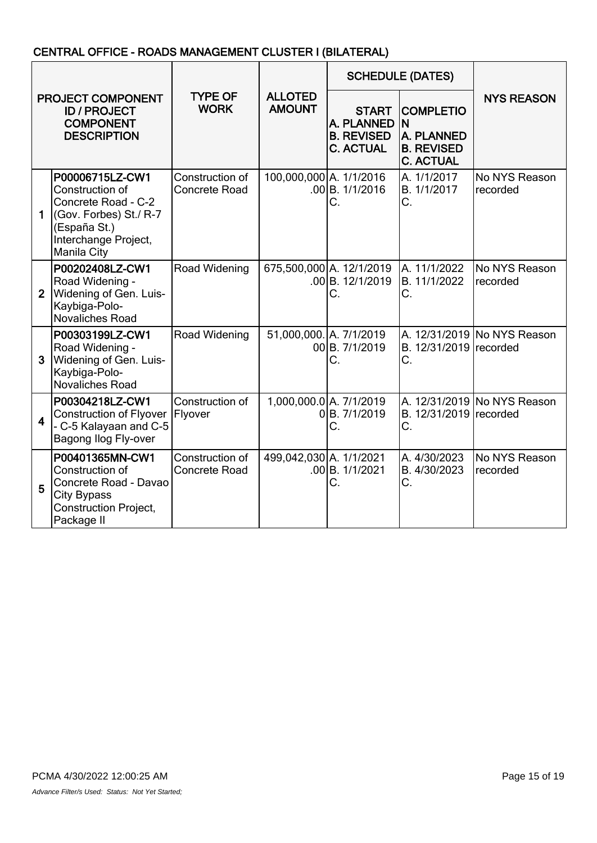# CENTRAL OFFICE - ROADS MANAGEMENT CLUSTER I (BILATERAL)

|                                                                                    |                                                                                                                                            |                                         | <b>SCHEDULE (DATES)</b>         |                                                                     |                                                                                      |                             |
|------------------------------------------------------------------------------------|--------------------------------------------------------------------------------------------------------------------------------------------|-----------------------------------------|---------------------------------|---------------------------------------------------------------------|--------------------------------------------------------------------------------------|-----------------------------|
| PROJECT COMPONENT<br><b>ID / PROJECT</b><br><b>COMPONENT</b><br><b>DESCRIPTION</b> |                                                                                                                                            | <b>TYPE OF</b><br><b>WORK</b>           | <b>ALLOTED</b><br><b>AMOUNT</b> | <b>START</b><br>A. PLANNED<br><b>B. REVISED</b><br><b>C. ACTUAL</b> | <b>COMPLETIO</b><br>ΙN<br><b>A. PLANNED</b><br><b>B. REVISED</b><br><b>C. ACTUAL</b> | <b>NYS REASON</b>           |
| $\mathbf 1$                                                                        | P00006715LZ-CW1<br>Construction of<br>Concrete Road - C-2<br>(Gov. Forbes) St./ R-7<br>(España St.)<br>Interchange Project,<br>Manila City | Construction of<br><b>Concrete Road</b> | 100,000,000 A. 1/1/2016         | .00B. 1/1/2016<br>С.                                                | A. 1/1/2017<br>B. 1/1/2017<br>С.                                                     | No NYS Reason<br>recorded   |
| $\overline{2}$                                                                     | P00202408LZ-CW1<br>Road Widening -<br>Widening of Gen. Luis-<br>Kaybiga-Polo-<br><b>Novaliches Road</b>                                    | Road Widening                           |                                 | 675,500,000 A. 12/1/2019<br>$.00$ B. 12/1/2019<br>C.                | A. 11/1/2022<br>B. 11/1/2022<br>C.                                                   | No NYS Reason<br>recorded   |
| 3                                                                                  | P00303199LZ-CW1<br>Road Widening -<br>Widening of Gen. Luis-<br>Kaybiga-Polo-<br><b>Novaliches Road</b>                                    | Road Widening                           | 51,000,000. A. 7/1/2019         | 00B. 7/1/2019<br>C.                                                 | B. 12/31/2019 recorded<br>C.                                                         | A. 12/31/2019 No NYS Reason |
| $\overline{\mathbf{4}}$                                                            | P00304218LZ-CW1<br><b>Construction of Flyover</b><br>- C-5 Kalayaan and C-5<br>Bagong Ilog Fly-over                                        | Construction of<br>Flyover              |                                 | 1,000,000.0 A. 7/1/2019<br>0B. 7/1/2019<br>C.                       | B. 12/31/2019 recorded<br>C.                                                         | A. 12/31/2019 No NYS Reason |
| 5                                                                                  | P00401365MN-CW1<br>Construction of<br>Concrete Road - Davao<br><b>City Bypass</b><br><b>Construction Project,</b><br>Package II            | Construction of<br><b>Concrete Road</b> | 499,042,030 A. 1/1/2021         | .00B. 1/1/2021<br>C.                                                | A. 4/30/2023<br>B. 4/30/2023<br>C.                                                   | No NYS Reason<br>recorded   |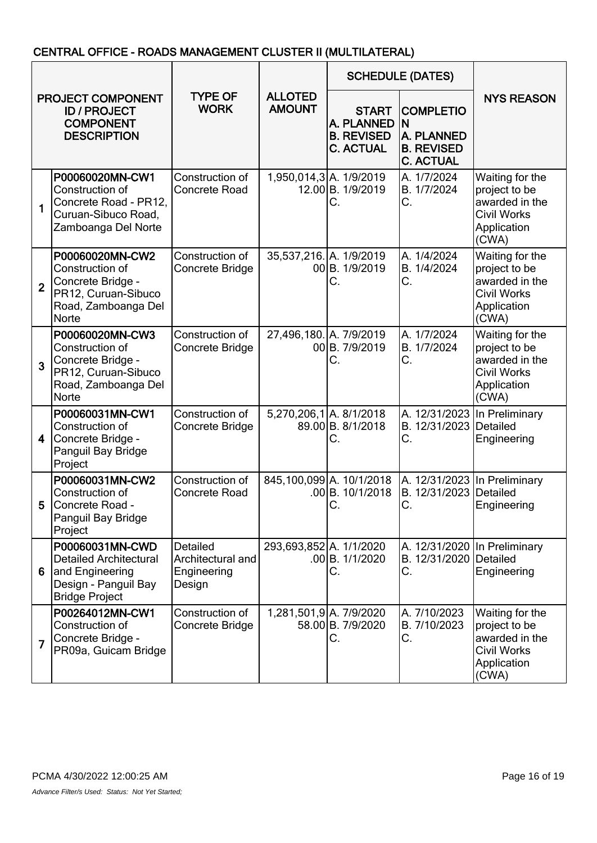# CENTRAL OFFICE - ROADS MANAGEMENT CLUSTER II (MULTILATERAL)

| PROJECT COMPONENT<br><b>ID / PROJECT</b><br><b>COMPONENT</b><br><b>DESCRIPTION</b> |                                                                                                                       |                                                        |                                 | <b>SCHEDULE (DATES)</b>                                             |                                                                                     |                                                                                                  |
|------------------------------------------------------------------------------------|-----------------------------------------------------------------------------------------------------------------------|--------------------------------------------------------|---------------------------------|---------------------------------------------------------------------|-------------------------------------------------------------------------------------|--------------------------------------------------------------------------------------------------|
|                                                                                    |                                                                                                                       | <b>TYPE OF</b><br><b>WORK</b>                          | <b>ALLOTED</b><br><b>AMOUNT</b> | <b>START</b><br>A. PLANNED<br><b>B. REVISED</b><br><b>C. ACTUAL</b> | <b>COMPLETIO</b><br>N<br><b>A. PLANNED</b><br><b>B. REVISED</b><br><b>C. ACTUAL</b> | <b>NYS REASON</b>                                                                                |
| 1                                                                                  | P00060020MN-CW1<br>Construction of<br>Concrete Road - PR12,<br>Curuan-Sibuco Road,<br>Zamboanga Del Norte             | Construction of<br><b>Concrete Road</b>                |                                 | 1,950,014,3 A. 1/9/2019<br>12.00 B. 1/9/2019<br>С.                  | A. 1/7/2024<br>B. 1/7/2024<br>С.                                                    | Waiting for the<br>project to be<br>awarded in the<br><b>Civil Works</b><br>Application<br>(CWA) |
| $\overline{2}$                                                                     | P00060020MN-CW2<br>Construction of<br>Concrete Bridge -<br>PR12, Curuan-Sibuco<br>Road, Zamboanga Del<br><b>Norte</b> | Construction of<br>Concrete Bridge                     | 35,537,216. A. 1/9/2019         | 00 B. 1/9/2019<br>С.                                                | A. 1/4/2024<br>B. 1/4/2024<br>C.                                                    | Waiting for the<br>project to be<br>awarded in the<br><b>Civil Works</b><br>Application<br>(CWA) |
| 3                                                                                  | P00060020MN-CW3<br>Construction of<br>Concrete Bridge -<br>PR12, Curuan-Sibuco<br>Road, Zamboanga Del<br><b>Norte</b> | Construction of<br>Concrete Bridge                     | 27,496,180. A. 7/9/2019         | 00B. 7/9/2019<br>С.                                                 | A. 1/7/2024<br>B. 1/7/2024<br>С.                                                    | Waiting for the<br>project to be<br>awarded in the<br><b>Civil Works</b><br>Application<br>(CWA) |
| 4                                                                                  | P00060031MN-CW1<br>Construction of<br>Concrete Bridge -<br>Panguil Bay Bridge<br>Project                              | Construction of<br>Concrete Bridge                     | 5,270,206,1 A. 8/1/2018         | 89.00 B. 8/1/2018<br>С.                                             | A. 12/31/2023<br>B. 12/31/2023 Detailed<br>С.                                       | In Preliminary<br>Engineering                                                                    |
| 5                                                                                  | P00060031MN-CW2<br>Construction of<br>Concrete Road -<br>Panguil Bay Bridge<br>Project                                | Construction of<br>Concrete Road                       |                                 | 845,100,099 A. 10/1/2018<br>.00B. 10/1/2018<br>С.                   | B. 12/31/2023 Detailed<br>C.                                                        | A. 12/31/2023 In Preliminary<br>Engineering                                                      |
| 6                                                                                  | P00060031MN-CWD<br><b>Detailed Architectural</b><br>and Engineering<br>Design - Panguil Bay<br><b>Bridge Project</b>  | Detailed<br>Architectural and<br>Engineering<br>Design | 293,693,852 A. 1/1/2020         | .00 B. 1/1/2020<br>С.                                               | B. 12/31/2020 Detailed<br>С.                                                        | A. 12/31/2020 In Preliminary<br>Engineering                                                      |
| 7                                                                                  | P00264012MN-CW1<br>Construction of<br>Concrete Bridge -<br>PR09a, Guicam Bridge                                       | Construction of<br>Concrete Bridge                     |                                 | 1,281,501,9 A. 7/9/2020<br>58.00 B. 7/9/2020<br>С.                  | A. 7/10/2023<br>B. 7/10/2023<br>С.                                                  | Waiting for the<br>project to be<br>awarded in the<br><b>Civil Works</b><br>Application<br>(CWA) |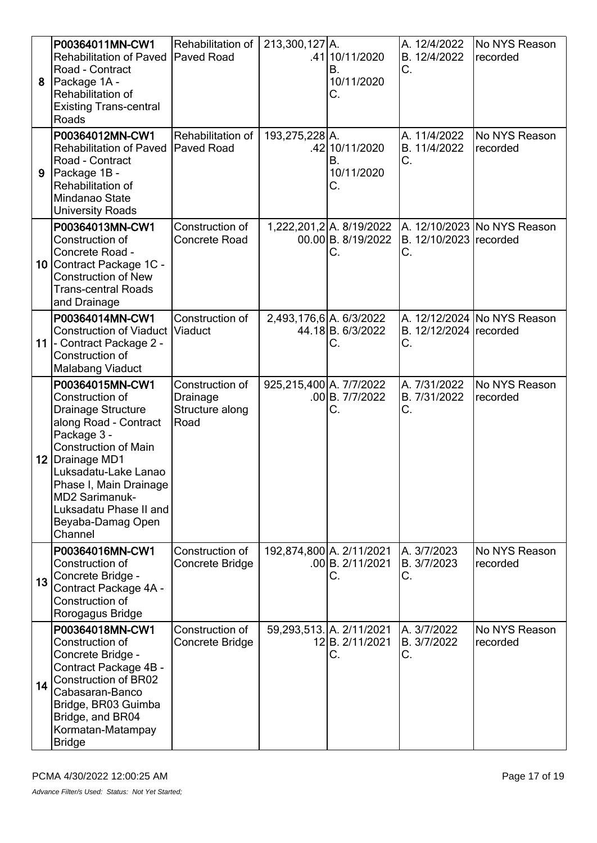| 8  | P00364011MN-CW1<br><b>Rehabilitation of Paved</b><br>Road - Contract<br>Package 1A -<br>Rehabilitation of<br><b>Existing Trans-central</b><br>Roads                                                                                                                                              | Rehabilitation of<br><b>Paved Road</b>                 | 213,300,127 A.          | .41 10/11/2020<br>В.<br>10/11/2020<br>С.             | A. 12/4/2022<br>B. 12/4/2022<br>С. | No NYS Reason<br>recorded     |
|----|--------------------------------------------------------------------------------------------------------------------------------------------------------------------------------------------------------------------------------------------------------------------------------------------------|--------------------------------------------------------|-------------------------|------------------------------------------------------|------------------------------------|-------------------------------|
| 9  | P00364012MN-CW1<br><b>Rehabilitation of Paved</b><br>Road - Contract<br>Package 1B -<br>Rehabilitation of<br>Mindanao State<br><b>University Roads</b>                                                                                                                                           | Rehabilitation of<br><b>Paved Road</b>                 | 193,275,228 A.          | .42 10/11/2020<br>В.<br>10/11/2020<br>С.             | A. 11/4/2022<br>B. 11/4/2022<br>C. | No NYS Reason<br>recorded     |
|    | P00364013MN-CW1<br>Construction of<br>Concrete Road -<br>10 Contract Package 1C -<br><b>Construction of New</b><br><b>Trans-central Roads</b><br>and Drainage                                                                                                                                    | Construction of<br>Concrete Road                       |                         | 1,222,201,2 A. 8/19/2022<br>00.00 B. 8/19/2022<br>C. | B. 12/10/2023 recorded<br>С.       | A. 12/10/2023 No NYS Reason   |
|    | P00364014MN-CW1<br><b>Construction of Viaduct</b><br>11 - Contract Package 2 -<br>Construction of<br><b>Malabang Viaduct</b>                                                                                                                                                                     | Construction of<br><b>Viaduct</b>                      | 2,493,176,6 A. 6/3/2022 | 44.18B. 6/3/2022<br>C.                               | B. 12/12/2024 recorded<br>С.       | A. 12/12/2024   No NYS Reason |
|    | P00364015MN-CW1<br>Construction of<br><b>Drainage Structure</b><br>along Road - Contract<br>Package 3 -<br><b>Construction of Main</b><br>12   Drainage MD1<br>Luksadatu-Lake Lanao<br>Phase I, Main Drainage<br><b>MD2 Sarimanuk-</b><br>Luksadatu Phase II and<br>Beyaba-Damag Open<br>Channel | Construction of<br>Drainage<br>Structure along<br>Road | 925,215,400 A. 7/7/2022 | .00 B.777/2022<br>C.                                 | A. 7/31/2022<br>B. 7/31/2022<br>С. | No NYS Reason<br>recorded     |
| 13 | P00364016MN-CW1<br>Construction of<br>Concrete Bridge -<br>Contract Package 4A -<br>Construction of<br>Rorogagus Bridge                                                                                                                                                                          | Construction of<br>Concrete Bridge                     |                         | 192,874,800 A. 2/11/2021<br>.00 B. 2/11/2021<br>C.   | A. 3/7/2023<br>B. 3/7/2023<br>C.   | No NYS Reason<br>recorded     |
| 14 | P00364018MN-CW1<br>Construction of<br>Concrete Bridge -<br>Contract Package 4B -<br><b>Construction of BR02</b><br>Cabasaran-Banco<br>Bridge, BR03 Guimba<br>Bridge, and BR04<br>Kormatan-Matampay<br><b>Bridge</b>                                                                              | Construction of<br>Concrete Bridge                     |                         | 59,293,513. A. 2/11/2021<br>12B. 2/11/2021<br>C.     | A. 3/7/2022<br>B. 3/7/2022<br>С.   | No NYS Reason<br>recorded     |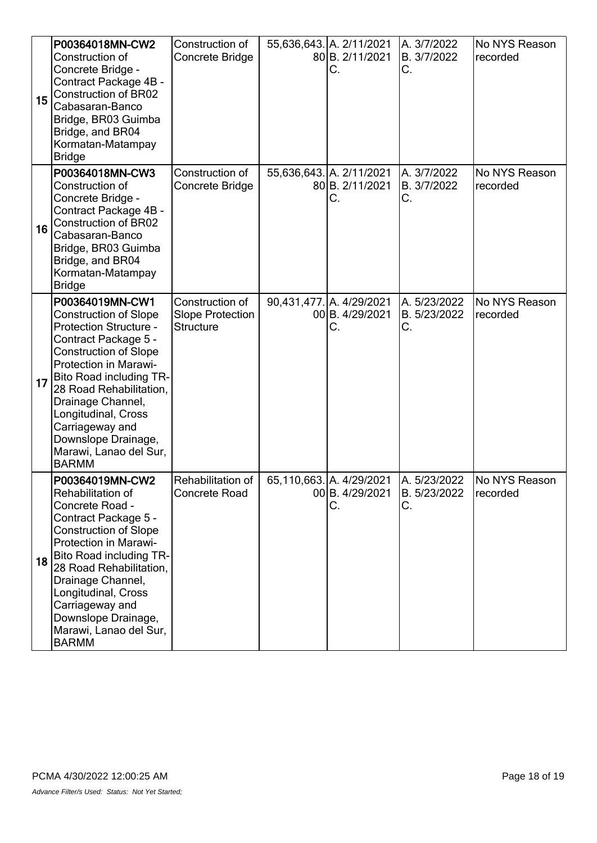| 15 | P00364018MN-CW2<br>Construction of<br>Concrete Bridge -<br>Contract Package 4B -<br><b>Construction of BR02</b><br>Cabasaran-Banco<br>Bridge, BR03 Guimba<br>Bridge, and BR04<br>Kormatan-Matampay<br><b>Bridge</b>                                                                                                                                                   | Construction of<br>Concrete Bridge                             | 55,636,643. A. 2/11/2021<br>80 B. 2/11/2021<br>С. | A. 3/7/2022<br>B. 3/7/2022<br>С.   | No NYS Reason<br>recorded |
|----|-----------------------------------------------------------------------------------------------------------------------------------------------------------------------------------------------------------------------------------------------------------------------------------------------------------------------------------------------------------------------|----------------------------------------------------------------|---------------------------------------------------|------------------------------------|---------------------------|
| 16 | P00364018MN-CW3<br>Construction of<br>Concrete Bridge -<br>Contract Package 4B -<br>Construction of BR02<br>Cabasaran-Banco<br>Bridge, BR03 Guimba<br>Bridge, and BR04<br>Kormatan-Matampay<br><b>Bridge</b>                                                                                                                                                          | Construction of<br>Concrete Bridge                             | 55,636,643. A. 2/11/2021<br>80 B. 2/11/2021<br>C. | A. 3/7/2022<br>B. 3/7/2022<br>C.   | No NYS Reason<br>recorded |
| 17 | P00364019MN-CW1<br><b>Construction of Slope</b><br><b>Protection Structure -</b><br>Contract Package 5 -<br><b>Construction of Slope</b><br><b>Protection in Marawi-</b><br><b>Bito Road including TR-</b><br>28 Road Rehabilitation,<br>Drainage Channel,<br>Longitudinal, Cross<br>Carriageway and<br>Downslope Drainage,<br>Marawi, Lanao del Sur,<br><b>BARMM</b> | Construction of<br><b>Slope Protection</b><br><b>Structure</b> | 90,431,477. A. 4/29/2021<br>00 B. 4/29/2021<br>С. | A. 5/23/2022<br>B. 5/23/2022<br>С. | No NYS Reason<br>recorded |
| 18 | P00364019MN-CW2<br>Rehabilitation of<br>Concrete Road -<br>Contract Package 5 -<br><b>Construction of Slope</b><br>Protection in Marawi-<br><b>Bito Road including TR-</b><br>28 Road Rehabilitation,<br>Drainage Channel,<br>Longitudinal, Cross<br>Carriageway and<br>Downslope Drainage,<br>Marawi, Lanao del Sur,<br><b>BARMM</b>                                 | Rehabilitation of<br><b>Concrete Road</b>                      | 65,110,663. A. 4/29/2021<br>00 B. 4/29/2021<br>С. | A. 5/23/2022<br>B. 5/23/2022<br>C. | No NYS Reason<br>recorded |